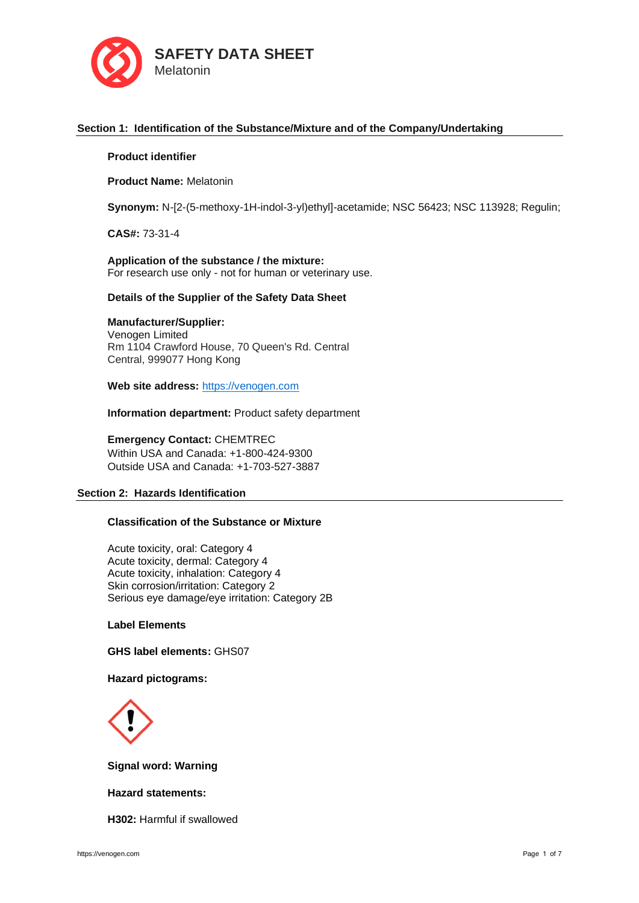

# **Section 1: Identification of the Substance/Mixture and of the Company/Undertaking**

## **Product identifier**

**Product Name:** Melatonin

**Synonym:** N-[2-(5-methoxy-1H-indol-3-yl)ethyl]-acetamide; NSC 56423; NSC 113928; Regulin;

**CAS#:** 73-31-4

**Application of the substance / the mixture:** For research use only - not for human or veterinary use.

### **Details of the Supplier of the Safety Data Sheet**

## **Manufacturer/Supplier:**

Venogen Limited Rm 1104 Crawford House, 70 Queen's Rd. Central Central, 999077 Hong Kong

**Web site address:** [https://venogen.com](https://venogen.com/)

**Information department:** Product safety department

**Emergency Contact:** CHEMTREC Within USA and Canada: +1-800-424-9300 Outside USA and Canada: +1-703-527-3887

### **Section 2: Hazards Identification**

# **Classification of the Substance or Mixture**

Acute toxicity, oral: Category 4 Acute toxicity, dermal: Category 4 Acute toxicity, inhalation: Category 4 Skin corrosion/irritation: Category 2 Serious eye damage/eye irritation: Category 2B

**Label Elements**

**GHS label elements:** GHS07

# **Hazard pictograms:**



**Signal word: Warning**

## **Hazard statements:**

**H302:** Harmful if swallowed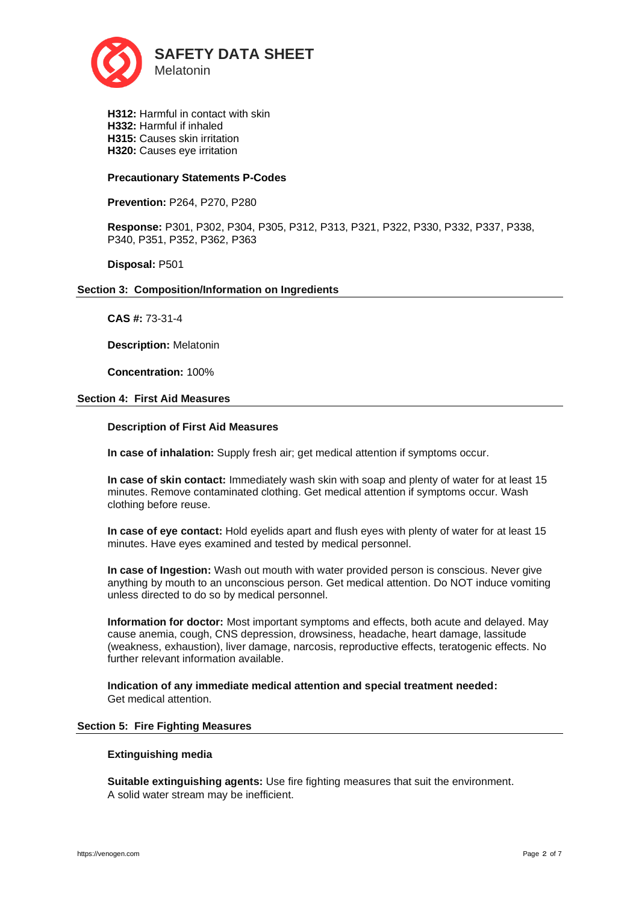

**H312:** Harmful in contact with skin **H332:** Harmful if inhaled **H315:** Causes skin irritation **H320:** Causes eye irritation

## **Precautionary Statements P-Codes**

**Prevention:** P264, P270, P280

**Response:** P301, P302, P304, P305, P312, P313, P321, P322, P330, P332, P337, P338, P340, P351, P352, P362, P363

**Disposal:** P501

## **Section 3: Composition/Information on Ingredients**

**CAS #:** 73-31-4

**Description:** Melatonin

**Concentration:** 100%

### **Section 4: First Aid Measures**

## **Description of First Aid Measures**

**In case of inhalation:** Supply fresh air; get medical attention if symptoms occur.

**In case of skin contact:** Immediately wash skin with soap and plenty of water for at least 15 minutes. Remove contaminated clothing. Get medical attention if symptoms occur. Wash clothing before reuse.

**In case of eye contact:** Hold eyelids apart and flush eyes with plenty of water for at least 15 minutes. Have eyes examined and tested by medical personnel.

**In case of Ingestion:** Wash out mouth with water provided person is conscious. Never give anything by mouth to an unconscious person. Get medical attention. Do NOT induce vomiting unless directed to do so by medical personnel.

**Information for doctor:** Most important symptoms and effects, both acute and delayed. May cause anemia, cough, CNS depression, drowsiness, headache, heart damage, lassitude (weakness, exhaustion), liver damage, narcosis, reproductive effects, teratogenic effects. No further relevant information available.

**Indication of any immediate medical attention and special treatment needed:**  Get medical attention.

#### **Section 5: Fire Fighting Measures**

#### **Extinguishing media**

**Suitable extinguishing agents:** Use fire fighting measures that suit the environment. A solid water stream may be inefficient.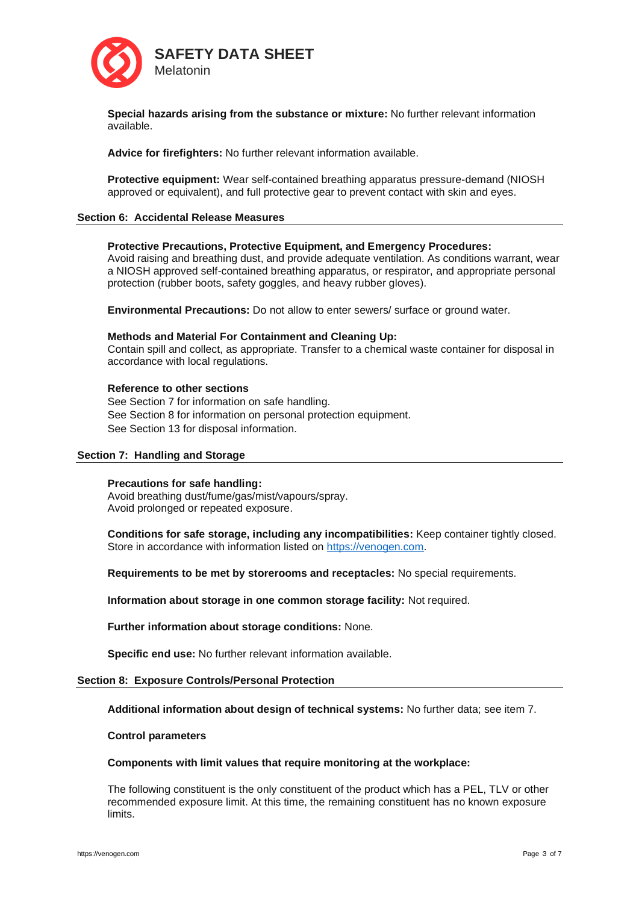

**Special hazards arising from the substance or mixture:** No further relevant information available.

**Advice for firefighters:** No further relevant information available.

**Protective equipment:** Wear self-contained breathing apparatus pressure-demand (NIOSH approved or equivalent), and full protective gear to prevent contact with skin and eyes.

### **Section 6: Accidental Release Measures**

### **Protective Precautions, Protective Equipment, and Emergency Procedures:**

Avoid raising and breathing dust, and provide adequate ventilation. As conditions warrant, wear a NIOSH approved self-contained breathing apparatus, or respirator, and appropriate personal protection (rubber boots, safety goggles, and heavy rubber gloves).

**Environmental Precautions:** Do not allow to enter sewers/ surface or ground water.

#### **Methods and Material For Containment and Cleaning Up:**

Contain spill and collect, as appropriate. Transfer to a chemical waste container for disposal in accordance with local regulations.

### **Reference to other sections**

See Section 7 for information on safe handling. See Section 8 for information on personal protection equipment. See Section 13 for disposal information.

#### **Section 7: Handling and Storage**

#### **Precautions for safe handling:**

Avoid breathing dust/fume/gas/mist/vapours/spray. Avoid prolonged or repeated exposure.

**Conditions for safe storage, including any incompatibilities:** Keep container tightly closed. Store in accordance with information listed on [https://venogen.com.](https://venogen.com/)

**Requirements to be met by storerooms and receptacles:** No special requirements.

**Information about storage in one common storage facility:** Not required.

**Further information about storage conditions:** None.

**Specific end use:** No further relevant information available.

#### **Section 8: Exposure Controls/Personal Protection**

**Additional information about design of technical systems:** No further data; see item 7.

### **Control parameters**

#### **Components with limit values that require monitoring at the workplace:**

The following constituent is the only constituent of the product which has a PEL, TLV or other recommended exposure limit. At this time, the remaining constituent has no known exposure limits.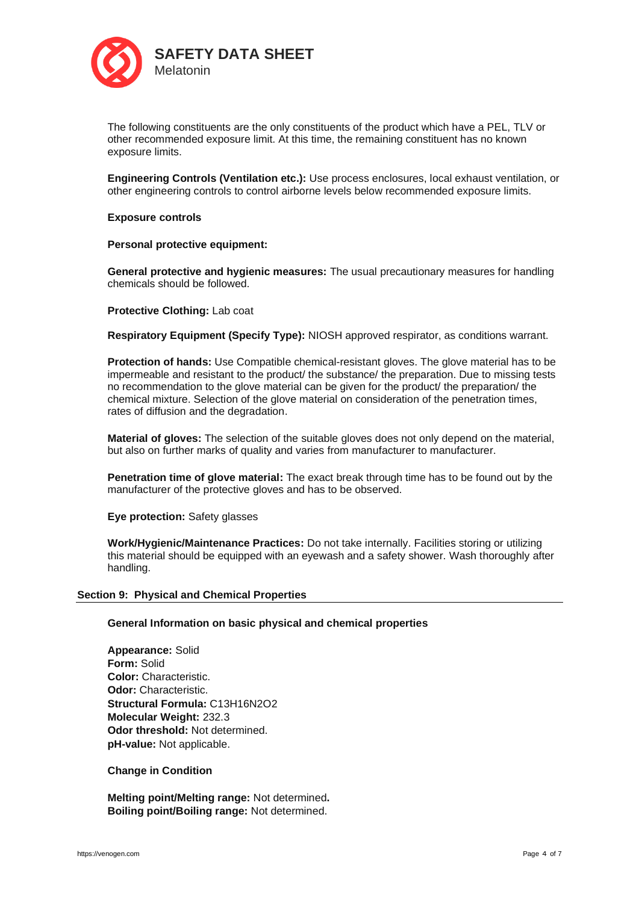

The following constituents are the only constituents of the product which have a PEL, TLV or other recommended exposure limit. At this time, the remaining constituent has no known exposure limits.

**Engineering Controls (Ventilation etc.):** Use process enclosures, local exhaust ventilation, or other engineering controls to control airborne levels below recommended exposure limits.

## **Exposure controls**

### **Personal protective equipment:**

**General protective and hygienic measures:** The usual precautionary measures for handling chemicals should be followed.

### **Protective Clothing:** Lab coat

**Respiratory Equipment (Specify Type):** NIOSH approved respirator, as conditions warrant.

**Protection of hands:** Use Compatible chemical-resistant gloves. The glove material has to be impermeable and resistant to the product/ the substance/ the preparation. Due to missing tests no recommendation to the glove material can be given for the product/ the preparation/ the chemical mixture. Selection of the glove material on consideration of the penetration times, rates of diffusion and the degradation.

**Material of gloves:** The selection of the suitable gloves does not only depend on the material, but also on further marks of quality and varies from manufacturer to manufacturer.

**Penetration time of glove material:** The exact break through time has to be found out by the manufacturer of the protective gloves and has to be observed.

**Eye protection:** Safety glasses

**Work/Hygienic/Maintenance Practices:** Do not take internally. Facilities storing or utilizing this material should be equipped with an eyewash and a safety shower. Wash thoroughly after handling.

#### **Section 9: Physical and Chemical Properties**

### **General Information on basic physical and chemical properties**

**Appearance:** Solid **Form:** Solid **Color:** Characteristic. **Odor:** Characteristic. **Structural Formula:** C13H16N2O2 **Molecular Weight:** 232.3 **Odor threshold:** Not determined. **pH-value:** Not applicable.

#### **Change in Condition**

**Melting point/Melting range:** Not determined**. Boiling point/Boiling range:** Not determined.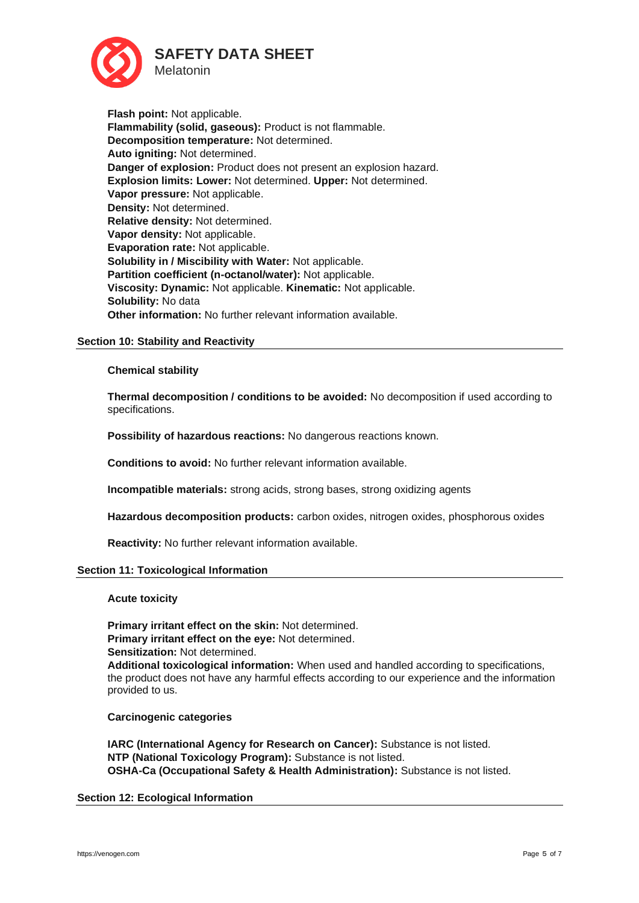

**Flash point:** Not applicable. **Flammability (solid, gaseous):** Product is not flammable. **Decomposition temperature:** Not determined. **Auto igniting:** Not determined. **Danger of explosion:** Product does not present an explosion hazard. **Explosion limits: Lower:** Not determined. **Upper:** Not determined. **Vapor pressure:** Not applicable. **Density:** Not determined. **Relative density:** Not determined. **Vapor density:** Not applicable. **Evaporation rate:** Not applicable. **Solubility in / Miscibility with Water:** Not applicable. **Partition coefficient (n-octanol/water):** Not applicable. **Viscosity: Dynamic:** Not applicable. **Kinematic:** Not applicable. **Solubility:** No data **Other information:** No further relevant information available.

## **Section 10: Stability and Reactivity**

### **Chemical stability**

**Thermal decomposition / conditions to be avoided:** No decomposition if used according to specifications.

**Possibility of hazardous reactions:** No dangerous reactions known.

**Conditions to avoid:** No further relevant information available.

**Incompatible materials:** strong acids, strong bases, strong oxidizing agents

**Hazardous decomposition products:** carbon oxides, nitrogen oxides, phosphorous oxides

**Reactivity:** No further relevant information available.

## **Section 11: Toxicological Information**

#### **Acute toxicity**

**Primary irritant effect on the skin:** Not determined. **Primary irritant effect on the eye:** Not determined. **Sensitization:** Not determined. **Additional toxicological information:** When used and handled according to specifications, the product does not have any harmful effects according to our experience and the information provided to us.

#### **Carcinogenic categories**

**IARC (International Agency for Research on Cancer):** Substance is not listed. **NTP (National Toxicology Program):** Substance is not listed. **OSHA-Ca (Occupational Safety & Health Administration):** Substance is not listed.

## **Section 12: Ecological Information**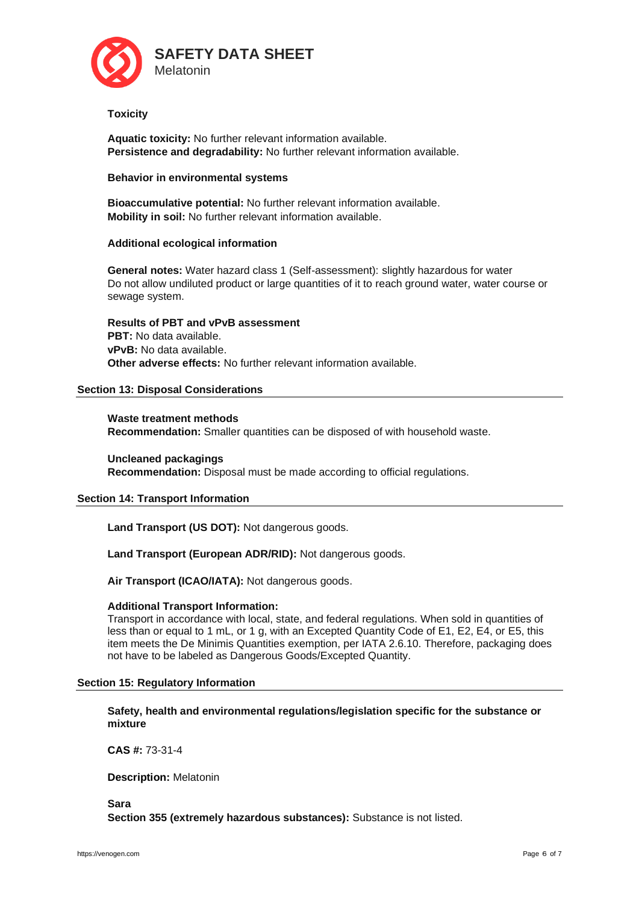

## **Toxicity**

**Aquatic toxicity:** No further relevant information available. **Persistence and degradability:** No further relevant information available.

## **Behavior in environmental systems**

**Bioaccumulative potential:** No further relevant information available. **Mobility in soil:** No further relevant information available.

# **Additional ecological information**

**General notes:** Water hazard class 1 (Self-assessment): slightly hazardous for water Do not allow undiluted product or large quantities of it to reach ground water, water course or sewage system.

**Results of PBT and vPvB assessment PBT:** No data available. **vPvB:** No data available. **Other adverse effects:** No further relevant information available.

# **Section 13: Disposal Considerations**

**Waste treatment methods Recommendation:** Smaller quantities can be disposed of with household waste.

**Uncleaned packagings Recommendation:** Disposal must be made according to official regulations.

## **Section 14: Transport Information**

**Land Transport (US DOT):** Not dangerous goods.

**Land Transport (European ADR/RID):** Not dangerous goods.

**Air Transport (ICAO/IATA):** Not dangerous goods.

## **Additional Transport Information:**

Transport in accordance with local, state, and federal regulations. When sold in quantities of less than or equal to 1 mL, or 1 g, with an Excepted Quantity Code of E1, E2, E4, or E5, this item meets the De Minimis Quantities exemption, per IATA 2.6.10. Therefore, packaging does not have to be labeled as Dangerous Goods/Excepted Quantity.

## **Section 15: Regulatory Information**

**Safety, health and environmental regulations/legislation specific for the substance or mixture**

**CAS #:** 73-31-4

**Description:** Melatonin

**Sara Section 355 (extremely hazardous substances):** Substance is not listed.